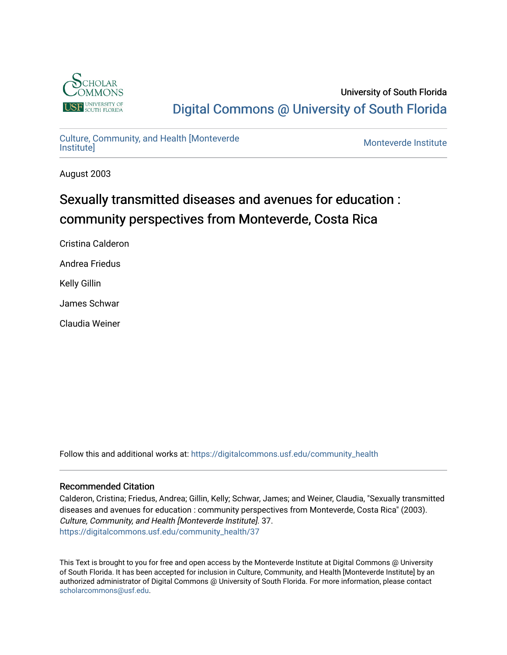

University of South Florida [Digital Commons @ University of South Florida](https://digitalcommons.usf.edu/) 

# [Culture, Community, and Health \[Monteverde](https://digitalcommons.usf.edu/community_health)

Monteverde Institute

August 2003

# Sexually transmitted diseases and avenues for education : community perspectives from Monteverde, Costa Rica

Cristina Calderon

Andrea Friedus

Kelly Gillin

James Schwar

Claudia Weiner

Follow this and additional works at: [https://digitalcommons.usf.edu/community\\_health](https://digitalcommons.usf.edu/community_health?utm_source=digitalcommons.usf.edu%2Fcommunity_health%2F37&utm_medium=PDF&utm_campaign=PDFCoverPages) 

#### Recommended Citation

Calderon, Cristina; Friedus, Andrea; Gillin, Kelly; Schwar, James; and Weiner, Claudia, "Sexually transmitted diseases and avenues for education : community perspectives from Monteverde, Costa Rica" (2003). Culture, Community, and Health [Monteverde Institute]. 37. [https://digitalcommons.usf.edu/community\\_health/37](https://digitalcommons.usf.edu/community_health/37?utm_source=digitalcommons.usf.edu%2Fcommunity_health%2F37&utm_medium=PDF&utm_campaign=PDFCoverPages) 

This Text is brought to you for free and open access by the Monteverde Institute at Digital Commons @ University of South Florida. It has been accepted for inclusion in Culture, Community, and Health [Monteverde Institute] by an authorized administrator of Digital Commons @ University of South Florida. For more information, please contact [scholarcommons@usf.edu.](mailto:scholarcommons@usf.edu)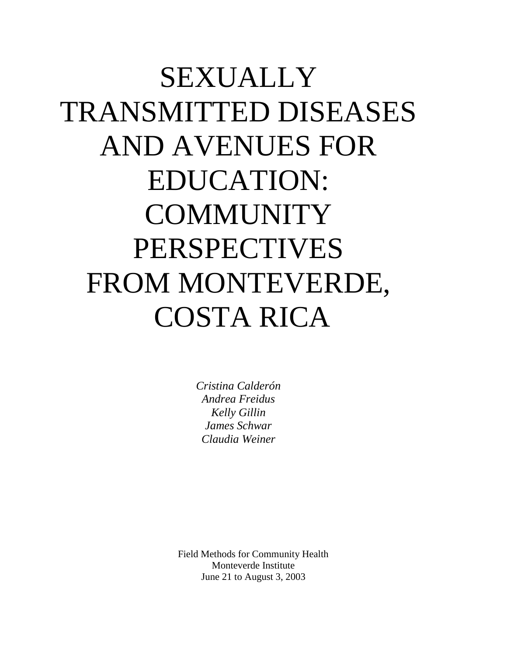# SEXUALLY TRANSMITTED DISEASES AND AVENUES FOR EDUCATION: **COMMUNITY** PERSPECTIVES FROM MONTEVERDE, COSTA RICA

*Cristina Calderón Andrea Freidus Kelly Gillin James Schwar Claudia Weiner*

Field Methods for Community Health Monteverde Institute June 21 to August 3, 2003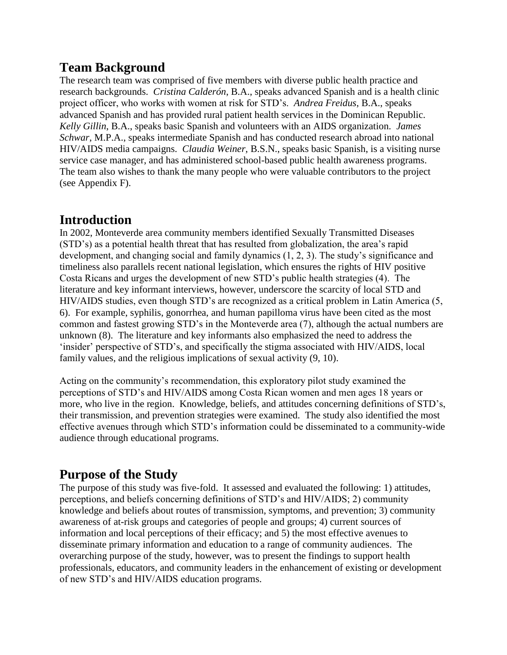#### **Team Background**

The research team was comprised of five members with diverse public health practice and research backgrounds. *Cristina Calderón*, B.A., speaks advanced Spanish and is a health clinic project officer, who works with women at risk for STD"s. *Andrea Freidus*, B.A., speaks advanced Spanish and has provided rural patient health services in the Dominican Republic. *Kelly Gillin*, B.A., speaks basic Spanish and volunteers with an AIDS organization. *James Schwar*, M.P.A., speaks intermediate Spanish and has conducted research abroad into national HIV/AIDS media campaigns. *Claudia Weiner*, B.S.N., speaks basic Spanish, is a visiting nurse service case manager, and has administered school-based public health awareness programs. The team also wishes to thank the many people who were valuable contributors to the project (see Appendix F).

#### **Introduction**

In 2002, Monteverde area community members identified Sexually Transmitted Diseases (STD"s) as a potential health threat that has resulted from globalization, the area"s rapid development, and changing social and family dynamics (1, 2, 3). The study"s significance and timeliness also parallels recent national legislation, which ensures the rights of HIV positive Costa Ricans and urges the development of new STD"s public health strategies (4). The literature and key informant interviews, however, underscore the scarcity of local STD and HIV/AIDS studies, even though STD"s are recognized as a critical problem in Latin America (5, 6). For example, syphilis, gonorrhea, and human papilloma virus have been cited as the most common and fastest growing STD"s in the Monteverde area (7), although the actual numbers are unknown (8). The literature and key informants also emphasized the need to address the "insider" perspective of STD"s, and specifically the stigma associated with HIV/AIDS, local family values, and the religious implications of sexual activity (9, 10).

Acting on the community"s recommendation, this exploratory pilot study examined the perceptions of STD"s and HIV/AIDS among Costa Rican women and men ages 18 years or more, who live in the region. Knowledge, beliefs, and attitudes concerning definitions of STD"s, their transmission, and prevention strategies were examined. The study also identified the most effective avenues through which STD"s information could be disseminated to a community-wide audience through educational programs.

#### **Purpose of the Study**

The purpose of this study was five-fold. It assessed and evaluated the following: 1) attitudes, perceptions, and beliefs concerning definitions of STD"s and HIV/AIDS; 2) community knowledge and beliefs about routes of transmission, symptoms, and prevention; 3) community awareness of at-risk groups and categories of people and groups; 4) current sources of information and local perceptions of their efficacy; and 5) the most effective avenues to disseminate primary information and education to a range of community audiences. The overarching purpose of the study, however, was to present the findings to support health professionals, educators, and community leaders in the enhancement of existing or development of new STD"s and HIV/AIDS education programs.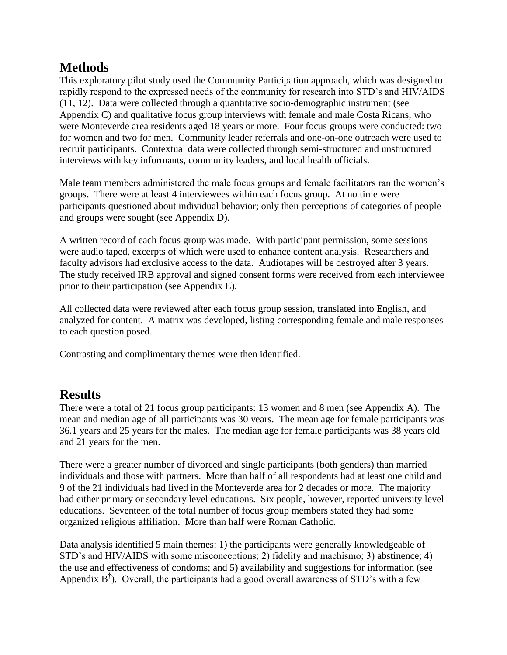#### **Methods**

This exploratory pilot study used the Community Participation approach, which was designed to rapidly respond to the expressed needs of the community for research into STD"s and HIV/AIDS (11, 12). Data were collected through a quantitative socio-demographic instrument (see Appendix C) and qualitative focus group interviews with female and male Costa Ricans, who were Monteverde area residents aged 18 years or more. Four focus groups were conducted: two for women and two for men. Community leader referrals and one-on-one outreach were used to recruit participants. Contextual data were collected through semi-structured and unstructured interviews with key informants, community leaders, and local health officials.

Male team members administered the male focus groups and female facilitators ran the women's groups. There were at least 4 interviewees within each focus group. At no time were participants questioned about individual behavior; only their perceptions of categories of people and groups were sought (see Appendix D).

A written record of each focus group was made. With participant permission, some sessions were audio taped, excerpts of which were used to enhance content analysis. Researchers and faculty advisors had exclusive access to the data. Audiotapes will be destroyed after 3 years. The study received IRB approval and signed consent forms were received from each interviewee prior to their participation (see Appendix E).

All collected data were reviewed after each focus group session, translated into English, and analyzed for content. A matrix was developed, listing corresponding female and male responses to each question posed.

Contrasting and complimentary themes were then identified.

#### **Results**

There were a total of 21 focus group participants: 13 women and 8 men (see Appendix A). The mean and median age of all participants was 30 years. The mean age for female participants was 36.1 years and 25 years for the males. The median age for female participants was 38 years old and 21 years for the men.

There were a greater number of divorced and single participants (both genders) than married individuals and those with partners. More than half of all respondents had at least one child and 9 of the 21 individuals had lived in the Monteverde area for 2 decades or more. The majority had either primary or secondary level educations. Six people, however, reported university level educations. Seventeen of the total number of focus group members stated they had some organized religious affiliation. More than half were Roman Catholic.

Data analysis identified 5 main themes: 1) the participants were generally knowledgeable of STD"s and HIV/AIDS with some misconceptions; 2) fidelity and machismo; 3) abstinence; 4) the use and effectiveness of condoms; and 5) availability and suggestions for information (see Appendix  $B^{\dagger}$ ). Overall, the participants had a good overall awareness of STD's with a few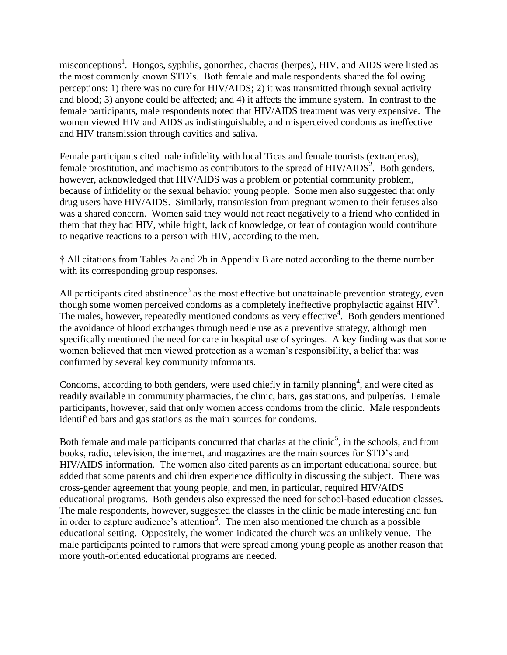misconceptions<sup>1</sup>. Hongos, syphilis, gonorrhea, chacras (herpes), HIV, and AIDS were listed as the most commonly known STD"s. Both female and male respondents shared the following perceptions: 1) there was no cure for HIV/AIDS; 2) it was transmitted through sexual activity and blood; 3) anyone could be affected; and 4) it affects the immune system. In contrast to the female participants, male respondents noted that HIV/AIDS treatment was very expensive. The women viewed HIV and AIDS as indistinguishable, and misperceived condoms as ineffective and HIV transmission through cavities and saliva.

Female participants cited male infidelity with local Ticas and female tourists (extranjeras), female prostitution, and machismo as contributors to the spread of  $HIV/ALDS<sup>2</sup>$ . Both genders, however, acknowledged that HIV/AIDS was a problem or potential community problem, because of infidelity or the sexual behavior young people. Some men also suggested that only drug users have HIV/AIDS. Similarly, transmission from pregnant women to their fetuses also was a shared concern. Women said they would not react negatively to a friend who confided in them that they had HIV, while fright, lack of knowledge, or fear of contagion would contribute to negative reactions to a person with HIV, according to the men.

† All citations from Tables 2a and 2b in Appendix B are noted according to the theme number with its corresponding group responses.

All participants cited abstinence<sup>3</sup> as the most effective but unattainable prevention strategy, even though some women perceived condoms as a completely ineffective prophylactic against  $HIV<sup>3</sup>$ . The males, however, repeatedly mentioned condoms as very effective<sup>4</sup>. Both genders mentioned the avoidance of blood exchanges through needle use as a preventive strategy, although men specifically mentioned the need for care in hospital use of syringes. A key finding was that some women believed that men viewed protection as a woman"s responsibility, a belief that was confirmed by several key community informants.

Condoms, according to both genders, were used chiefly in family planning<sup>4</sup>, and were cited as readily available in community pharmacies, the clinic, bars, gas stations, and pulperías. Female participants, however, said that only women access condoms from the clinic. Male respondents identified bars and gas stations as the main sources for condoms.

Both female and male participants concurred that charlas at the clinic<sup>5</sup>, in the schools, and from books, radio, television, the internet, and magazines are the main sources for STD"s and HIV/AIDS information. The women also cited parents as an important educational source, but added that some parents and children experience difficulty in discussing the subject. There was cross-gender agreement that young people, and men, in particular, required HIV/AIDS educational programs. Both genders also expressed the need for school-based education classes. The male respondents, however, suggested the classes in the clinic be made interesting and fun in order to capture audience's attention<sup>5</sup>. The men also mentioned the church as a possible educational setting. Oppositely, the women indicated the church was an unlikely venue. The male participants pointed to rumors that were spread among young people as another reason that more youth-oriented educational programs are needed.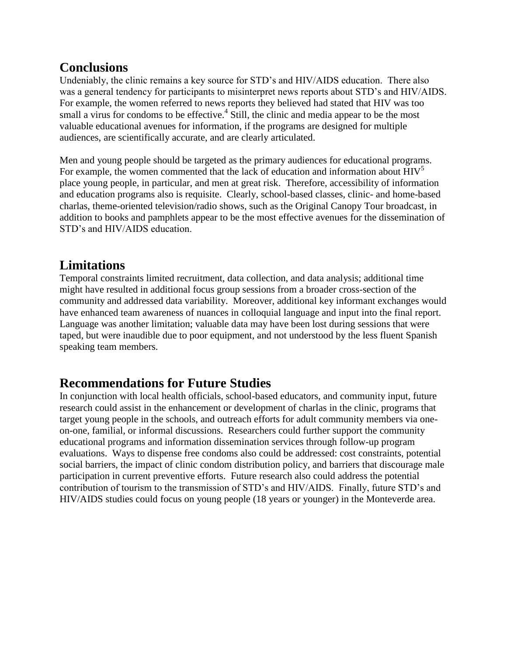#### **Conclusions**

Undeniably, the clinic remains a key source for STD"s and HIV/AIDS education. There also was a general tendency for participants to misinterpret news reports about STD"s and HIV/AIDS. For example, the women referred to news reports they believed had stated that HIV was too small a virus for condoms to be effective. $4$  Still, the clinic and media appear to be the most valuable educational avenues for information, if the programs are designed for multiple audiences, are scientifically accurate, and are clearly articulated.

Men and young people should be targeted as the primary audiences for educational programs. For example, the women commented that the lack of education and information about  $HIV<sup>5</sup>$ place young people, in particular, and men at great risk. Therefore, accessibility of information and education programs also is requisite. Clearly, school-based classes, clinic- and home-based charlas, theme-oriented television/radio shows, such as the Original Canopy Tour broadcast, in addition to books and pamphlets appear to be the most effective avenues for the dissemination of STD"s and HIV/AIDS education.

## **Limitations**

Temporal constraints limited recruitment, data collection, and data analysis; additional time might have resulted in additional focus group sessions from a broader cross-section of the community and addressed data variability. Moreover, additional key informant exchanges would have enhanced team awareness of nuances in colloquial language and input into the final report. Language was another limitation; valuable data may have been lost during sessions that were taped, but were inaudible due to poor equipment, and not understood by the less fluent Spanish speaking team members.

#### **Recommendations for Future Studies**

In conjunction with local health officials, school-based educators, and community input, future research could assist in the enhancement or development of charlas in the clinic, programs that target young people in the schools, and outreach efforts for adult community members via oneon-one, familial, or informal discussions. Researchers could further support the community educational programs and information dissemination services through follow-up program evaluations. Ways to dispense free condoms also could be addressed: cost constraints, potential social barriers, the impact of clinic condom distribution policy, and barriers that discourage male participation in current preventive efforts. Future research also could address the potential contribution of tourism to the transmission of STD"s and HIV/AIDS. Finally, future STD"s and HIV/AIDS studies could focus on young people (18 years or younger) in the Monteverde area.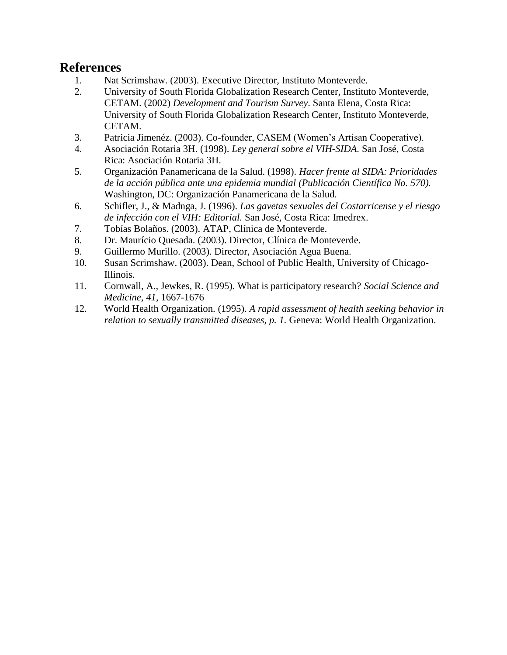#### **References**

- 
- 1. Nat Scrimshaw. (2003). Executive Director, Instituto Monteverde.<br>2. University of South Florida Globalization Research Center, Institute 2. University of South Florida Globalization Research Center, Instituto Monteverde, CETAM. (2002) *Development and Tourism Survey*. Santa Elena, Costa Rica: University of South Florida Globalization Research Center, Instituto Monteverde, CETAM.
- 3. Patricia Jimenéz. (2003). Co-founder, CASEM (Women"s Artisan Cooperative).
- 4. Asociación Rotaria 3H. (1998). *Ley general sobre el VIH-SIDA.* San José, Costa Rica: Asociación Rotaria 3H.
- 5. Organización Panamericana de la Salud. (1998). *Hacer frente al SIDA: Prioridades de la acción pública ante una epidemia mundial (Publicación Científica No. 570).*  Washington, DC: Organización Panamericana de la Salud*.*
- 6. Schifler, J., & Madnga, J. (1996). *Las gavetas sexuales del Costarricense y el riesgo de infección con el VIH: Editorial.* San José, Costa Rica: Imedrex.
- 7. Tobías Bolaños. (2003). ATAP, Clínica de Monteverde.
- 8. Dr. Maurício Quesada. (2003). Director, Clínica de Monteverde.
- 9. Guillermo Murillo. (2003). Director, Asociación Agua Buena.
- 10. Susan Scrimshaw. (2003). Dean, School of Public Health, University of Chicago-Illinois.
- 11. Cornwall, A., Jewkes, R. (1995). What is participatory research? *Social Science and Medicine, 41*, 1667-1676
- 12. World Health Organization. (1995). *A rapid assessment of health seeking behavior in relation to sexually transmitted diseases, p. 1. Geneva: World Health Organization.*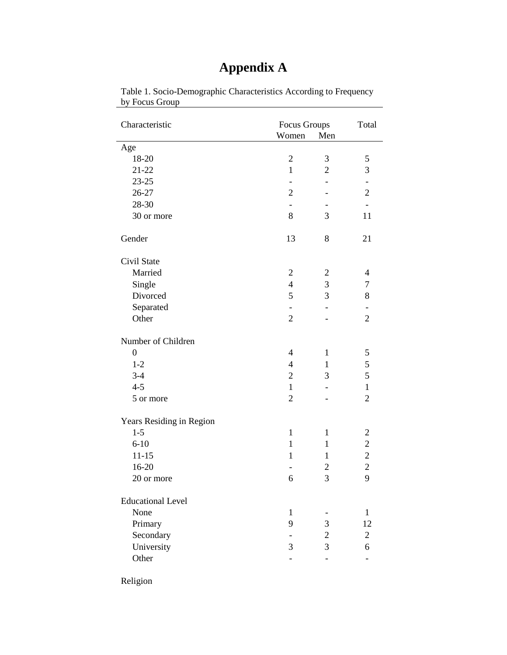| Characteristic           | Focus Groups<br>Women    | Men            | Total                    |
|--------------------------|--------------------------|----------------|--------------------------|
| Age                      |                          |                |                          |
| 18-20                    | $\overline{2}$           | 3              | 5                        |
| $21 - 22$                | $\mathbf{1}$             | $\overline{2}$ | 3                        |
| 23-25                    |                          |                | $\overline{\phantom{0}}$ |
| 26-27                    | $\overline{2}$           |                | $\overline{2}$           |
| 28-30                    |                          |                |                          |
| 30 or more               | 8                        | 3              | 11                       |
| Gender                   | 13                       | 8              | 21                       |
| Civil State              |                          |                |                          |
| Married                  | $\mathfrak{2}$           | $\mathfrak{2}$ | $\overline{4}$           |
| Single                   | $\overline{4}$           | 3              | 7                        |
| Divorced                 | 5                        | 3              | 8                        |
| Separated                | $\qquad \qquad -$        |                | -                        |
| Other                    | $\overline{2}$           |                | $\overline{c}$           |
| Number of Children       |                          |                |                          |
| $\boldsymbol{0}$         | $\overline{4}$           | $\mathbf{1}$   | 5                        |
| $1-2$                    | $\overline{\mathcal{L}}$ | 1              | 5                        |
| $3-4$                    | $\overline{2}$           | 3              | 5                        |
| $4 - 5$                  | $\mathbf{1}$             |                | $\mathbf{1}$             |
| 5 or more                | $\overline{2}$           |                | $\overline{2}$           |
| Years Residing in Region |                          |                |                          |
| $1 - 5$                  | $\mathbf{1}$             | $\mathbf{1}$   | $\overline{\mathbf{c}}$  |
| $6 - 10$                 | $\mathbf{1}$             | 1              | $\overline{c}$           |
| $11 - 15$                | $\mathbf{1}$             | $\mathbf{1}$   | $\overline{c}$           |
| 16-20                    |                          | $\overline{c}$ | $\overline{c}$           |
| 20 or more               | 6                        | 3              | 9                        |
| <b>Educational Level</b> |                          |                |                          |
| None                     | 1                        |                | $\mathbf{1}$             |
| Primary                  | 9                        | 3              | 12                       |
| Secondary                |                          | $\overline{2}$ | $\overline{2}$           |
| University               | 3                        | 3              | 6                        |
| Other                    |                          |                | $\overline{\phantom{0}}$ |
|                          |                          |                |                          |

#### Table 1. Socio-Demographic Characteristics According to Frequency by Focus Group

**Appendix A**

Religion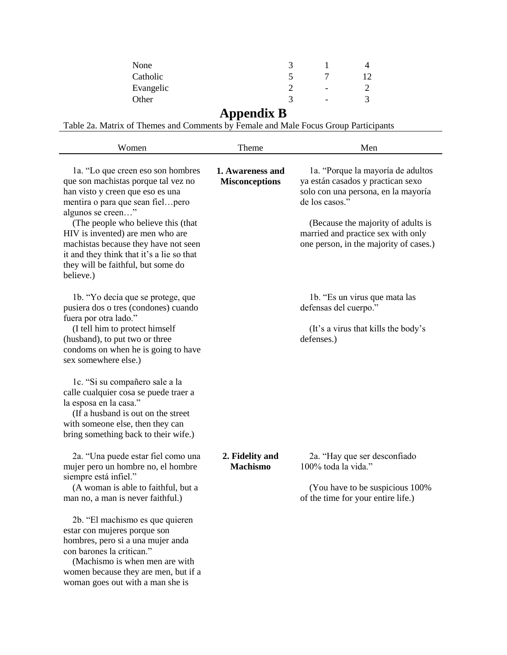| None      |                          |  |
|-----------|--------------------------|--|
| Catholic  |                          |  |
| Evangelic | $\overline{\phantom{a}}$ |  |
| Other     | -                        |  |

#### **Appendix B**

Table 2a. Matrix of Themes and Comments by Female and Male Focus Group Participants

| Women                                                                                                                                                                                                                                                                                                                                                                                    | Theme                                     | Men                                                                                                                                                                                                                                                   |
|------------------------------------------------------------------------------------------------------------------------------------------------------------------------------------------------------------------------------------------------------------------------------------------------------------------------------------------------------------------------------------------|-------------------------------------------|-------------------------------------------------------------------------------------------------------------------------------------------------------------------------------------------------------------------------------------------------------|
| 1a. "Lo que creen eso son hombres"<br>que son machistas porque tal vez no<br>han visto y creen que eso es una<br>mentira o para que sean fielpero<br>algunos se creen"<br>(The people who believe this (that<br>HIV is invented) are men who are<br>machistas because they have not seen<br>it and they think that it's a lie so that<br>they will be faithful, but some do<br>believe.) | 1. Awareness and<br><b>Misconceptions</b> | 1a. "Porque la mayoría de adultos<br>ya están casados y practican sexo<br>solo con una persona, en la mayoría<br>de los casos."<br>(Because the majority of adults is<br>married and practice sex with only<br>one person, in the majority of cases.) |
| 1b. "Yo decía que se protege, que<br>pusiera dos o tres (condones) cuando<br>fuera por otra lado."<br>(I tell him to protect himself<br>(husband), to put two or three<br>condoms on when he is going to have<br>sex somewhere else.)                                                                                                                                                    |                                           | 1b. "Es un virus que mata las<br>defensas del cuerpo."<br>(It's a virus that kills the body's<br>defenses.)                                                                                                                                           |
| 1c. "Si su compañero sale a la<br>calle cualquier cosa se puede traer a<br>la esposa en la casa."<br>(If a husband is out on the street)<br>with someone else, then they can<br>bring something back to their wife.)                                                                                                                                                                     |                                           |                                                                                                                                                                                                                                                       |
| 2a. "Una puede estar fiel como una<br>mujer pero un hombre no, el hombre<br>siempre está infiel."<br>(A woman is able to faithful, but a<br>man no, a man is never faithful.)                                                                                                                                                                                                            | 2. Fidelity and<br><b>Machismo</b>        | 2a. "Hay que ser desconfiado"<br>100% toda la vida."<br>(You have to be suspicious 100%)<br>of the time for your entire life.)                                                                                                                        |
| 2b. "El machismo es que quieren<br>estar con mujeres porque son<br>hombres, pero si a una mujer anda<br>con barones la critican."<br>(Machismo is when men are with<br>women because they are men, but if a<br>woman goes out with a man she is                                                                                                                                          |                                           |                                                                                                                                                                                                                                                       |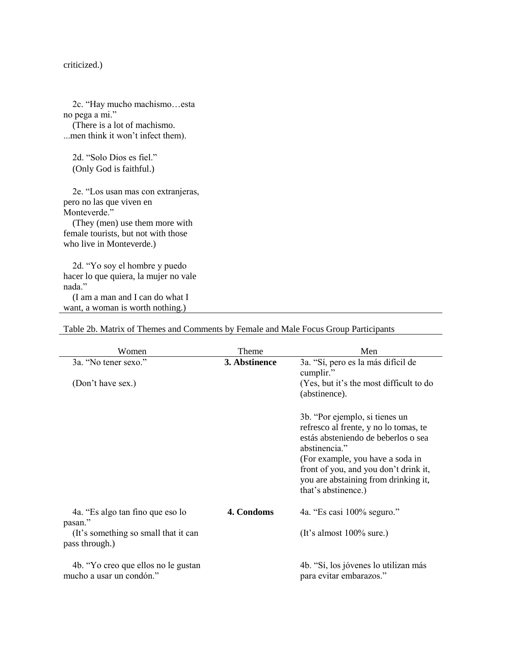criticized.)

2c. "Hay mucho machismo…esta no pega a mi." (There is a lot of machismo. ...men think it won"t infect them). 2d. "Solo Dios es fiel." (Only God is faithful.) 2e. "Los usan mas con extranjeras, pero no las que viven en

Monteverde." (They (men) use them more with female tourists, but not with those who live in Monteverde.)

2d. "Yo soy el hombre y puedo hacer lo que quiera, la mujer no vale nada." (I am a man and I can do what I

want, a woman is worth nothing.)

| Women                                                            | Theme         | Men                                                                                                                                                                                                                                                                         |
|------------------------------------------------------------------|---------------|-----------------------------------------------------------------------------------------------------------------------------------------------------------------------------------------------------------------------------------------------------------------------------|
| 3a. "No tener sexo."                                             | 3. Abstinence | 3a. "Sí, pero es la más difícil de                                                                                                                                                                                                                                          |
| (Don't have sex.)                                                |               | cumplir."<br>(Yes, but it's the most difficult to do<br>(abstinence).                                                                                                                                                                                                       |
|                                                                  |               | 3b. "Por ejemplo, si tienes un<br>refresco al frente, y no lo tomas, te<br>estás absteniendo de beberlos o sea<br>abstinencia."<br>(For example, you have a soda in<br>front of you, and you don't drink it,<br>you are abstaining from drinking it,<br>that's abstinence.) |
| 4a. "Es algo tan fino que eso lo<br>pasan."                      | 4. Condoms    | 4a. "Es casi 100% seguro."                                                                                                                                                                                                                                                  |
| (It's something so small that it can<br>pass through.)           |               | (It's almost $100\%$ sure.)                                                                                                                                                                                                                                                 |
| 4b. "Yo creo que ellos no le gustan"<br>mucho a usar un condón." |               | 4b. "Sí, los jóvenes lo utilizan más<br>para evitar embarazos."                                                                                                                                                                                                             |

#### Table 2b. Matrix of Themes and Comments by Female and Male Focus Group Participants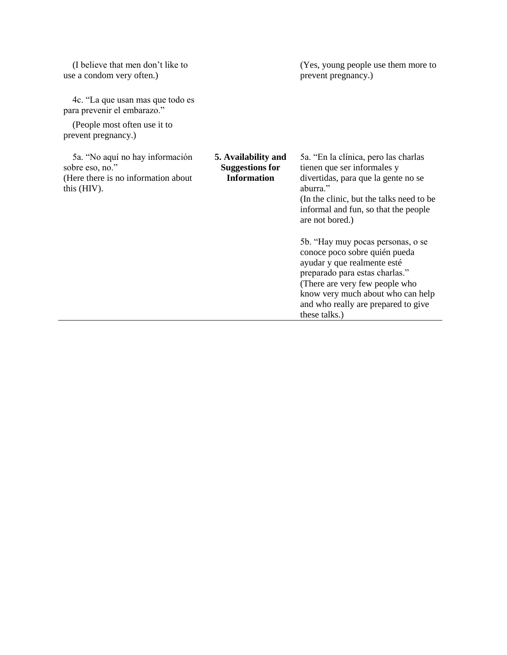|                                                                     | (Yes, young people use them more to<br>prevent pregnancy.)                                                                                                                                                                                                         |
|---------------------------------------------------------------------|--------------------------------------------------------------------------------------------------------------------------------------------------------------------------------------------------------------------------------------------------------------------|
|                                                                     |                                                                                                                                                                                                                                                                    |
|                                                                     |                                                                                                                                                                                                                                                                    |
| 5. Availability and<br><b>Suggestions for</b><br><b>Information</b> | 5a. "En la clínica, pero las charlas<br>tienen que ser informales y<br>divertidas, para que la gente no se<br>aburra."<br>(In the clinic, but the talks need to be)<br>informal and fun, so that the people<br>are not bored.)                                     |
|                                                                     | 5b. "Hay muy pocas personas, o se<br>conoce poco sobre quién pueda<br>ayudar y que realmente esté<br>preparado para estas charlas."<br>(There are very few people who<br>know very much about who can help<br>and who really are prepared to give<br>these talks.) |
|                                                                     |                                                                                                                                                                                                                                                                    |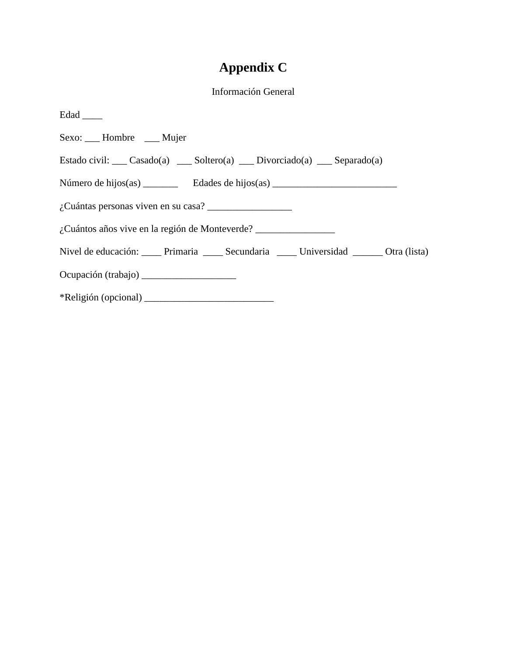# **Appendix C**

#### Información General

| Edad _____                                                                        |
|-----------------------------------------------------------------------------------|
| Sexo: ___ Hombre ___ Mujer                                                        |
| Estado civil: ___ Casado(a) ___ Soltero(a) ___ Divorciado(a) ___ Separado(a)      |
|                                                                                   |
|                                                                                   |
| ¿Cuántos años vive en la región de Monteverde? __________________________________ |
| Nivel de educación: Primaria Secundaria Ministrativa de La Otra (lista)           |
|                                                                                   |
| $*Religión (opcional)$                                                            |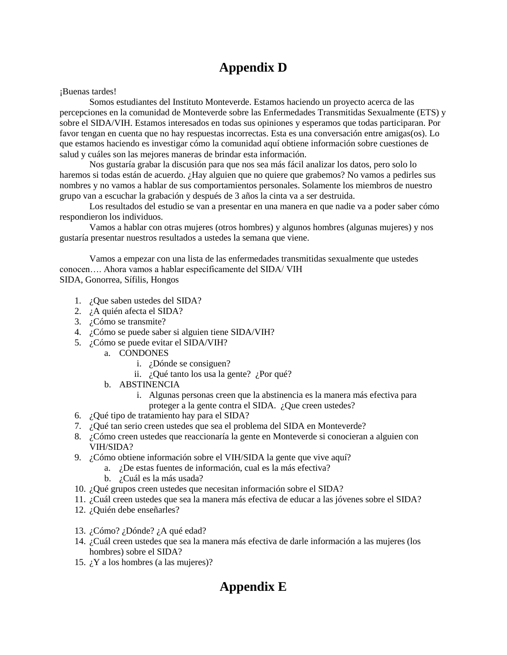## **Appendix D**

¡Buenas tardes!

Somos estudiantes del Instituto Monteverde. Estamos haciendo un proyecto acerca de las percepciones en la comunidad de Monteverde sobre las Enfermedades Transmitidas Sexualmente (ETS) y sobre el SIDA/VIH. Estamos interesados en todas sus opiniones y esperamos que todas participaran. Por favor tengan en cuenta que no hay respuestas incorrectas. Esta es una conversación entre amigas(os). Lo que estamos haciendo es investigar cómo la comunidad aquí obtiene información sobre cuestiones de salud y cuáles son las mejores maneras de brindar esta información.

Nos gustaría grabar la discusión para que nos sea más fácil analizar los datos, pero solo lo haremos si todas están de acuerdo. ¿Hay alguien que no quiere que grabemos? No vamos a pedirles sus nombres y no vamos a hablar de sus comportamientos personales. Solamente los miembros de nuestro grupo van a escuchar la grabación y después de 3 años la cinta va a ser destruida.

Los resultados del estudio se van a presentar en una manera en que nadie va a poder saber cómo respondieron los individuos.

Vamos a hablar con otras mujeres (otros hombres) y algunos hombres (algunas mujeres) y nos gustaría presentar nuestros resultados a ustedes la semana que viene.

Vamos a empezar con una lista de las enfermedades transmitidas sexualmente que ustedes conocen…. Ahora vamos a hablar específicamente del SIDA/ VIH SIDA, Gonorrea, Sífilis, Hongos

- 1. ¿Que saben ustedes del SIDA?
- 2. ¿A quién afecta el SIDA?
- 3. ¿Cómo se transmite?
- 4. ¿Cómo se puede saber si alguien tiene SIDA/VIH?
- 5. ¿Cómo se puede evitar el SIDA/VIH?
	- a. CONDONES
		- i. ¿Dónde se consiguen?
		- ii. ¿Qué tanto los usa la gente? ¿Por qué?
	- b. ABSTINENCIA
		- i. Algunas personas creen que la abstinencia es la manera más efectiva para proteger a la gente contra el SIDA. ¿Que creen ustedes?
- 6. ¿Qué tipo de tratamiento hay para el SIDA?
- 7. ¿Qué tan serio creen ustedes que sea el problema del SIDA en Monteverde?
- 8. ¿Cómo creen ustedes que reaccionaría la gente en Monteverde si conocieran a alguien con VIH/SIDA?
- 9. ¿Cómo obtiene información sobre el VIH/SIDA la gente que vive aquí?
	- a. ¿De estas fuentes de información, cual es la más efectiva?
	- b. ¿Cuál es la más usada?
- 10. ¿Qué grupos creen ustedes que necesitan información sobre el SIDA?
- 11. ¿Cuál creen ustedes que sea la manera más efectiva de educar a las jóvenes sobre el SIDA?
- 12. ¿Quién debe enseñarles?
- 13. ¿Cómo? ¿Dónde? ¿A qué edad?
- 14. ¿Cuál creen ustedes que sea la manera más efectiva de darle información a las mujeres (los hombres) sobre el SIDA?
- 15.  $i$ <sup>Y</sup> a los hombres (a las mujeres)?

## **Appendix E**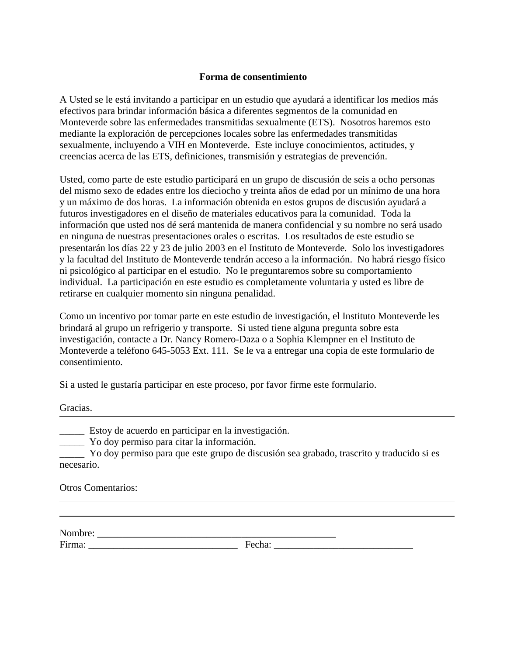#### **Forma de consentimiento**

A Usted se le está invitando a participar en un estudio que ayudará a identificar los medios más efectivos para brindar información básica a diferentes segmentos de la comunidad en Monteverde sobre las enfermedades transmitidas sexualmente (ETS). Nosotros haremos esto mediante la exploración de percepciones locales sobre las enfermedades transmitidas sexualmente, incluyendo a VIH en Monteverde. Este incluye conocimientos, actitudes, y creencias acerca de las ETS, definiciones, transmisión y estrategias de prevención.

Usted, como parte de este estudio participará en un grupo de discusión de seis a ocho personas del mismo sexo de edades entre los dieciocho y treinta años de edad por un mínimo de una hora y un máximo de dos horas. La información obtenida en estos grupos de discusión ayudará a futuros investigadores en el diseño de materiales educativos para la comunidad. Toda la información que usted nos dé será mantenida de manera confidencial y su nombre no será usado en ninguna de nuestras presentaciones orales o escritas. Los resultados de este estudio se presentarán los días 22 y 23 de julio 2003 en el Instituto de Monteverde. Solo los investigadores y la facultad del Instituto de Monteverde tendrán acceso a la información. No habrá riesgo físico ni psicológico al participar en el estudio. No le preguntaremos sobre su comportamiento individual. La participación en este estudio es completamente voluntaria y usted es libre de retirarse en cualquier momento sin ninguna penalidad.

Como un incentivo por tomar parte en este estudio de investigación, el Instituto Monteverde les brindará al grupo un refrigerio y transporte. Si usted tiene alguna pregunta sobre esta investigación, contacte a Dr. Nancy Romero-Daza o a Sophia Klempner en el Instituto de Monteverde a teléfono 645-5053 Ext. 111. Se le va a entregar una copia de este formulario de consentimiento.

Si a usted le gustaría participar en este proceso, por favor firme este formulario.

Gracias.

\_\_\_\_\_ Estoy de acuerdo en participar en la investigación.

\_\_\_\_\_ Yo doy permiso para citar la información.

\_\_\_\_\_ Yo doy permiso para que este grupo de discusión sea grabado, trascrito y traducido si es necesario.

Otros Comentarios:

| N <sub>f</sub><br><b>INOILIDIC.</b> |             |
|-------------------------------------|-------------|
| Firma:                              | ᠇<br>UUIIa. |